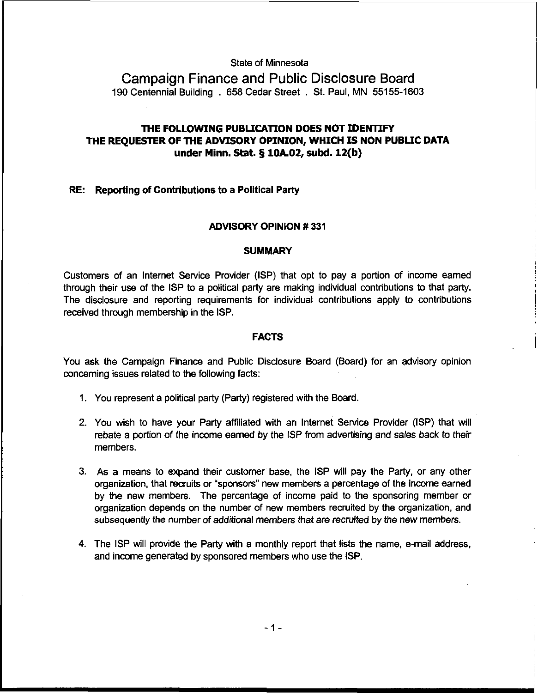State of Minnesota

Campaign Finance and Public Disclosure Board 190 Centennial Building . 658 Cedar Street . St. Paul, MN 55155-1603

# THE FOLLOWING PUBLICATION DOES NOT IDENTIFY THE REQUESTER OF THE ADVISORY OPINION, WHICH IS NON PUBLIC DATA under Minn. Stat. **5** 10A.02, **subd.** 12(b)

### RE: Reporting of Contributions to a Political Party

### ADVISORY OPINION # 331

#### **SUMMARY**

Customers of an Internet Service Provider (ISP) that opt to pay a portion of income earned through their use of the ISP to a political party are making individual contributions to that party. The disclosure and reporting requirements for individual contributions apply to contributions received through membership in the ISP.

#### FACTS

You ask the Campaign Finance and Public Disclosure Board (Board) for an advisory opinion concerning issues related to the following facts:

- 1. You represent a political party (Party) registered with the Board.
- 2. You wish to have your Party affiliated with an lnternet Service Provider (ISP) that will rebate a portion of the income earned by the ISP from advertising and sales back to their members.
- 3. As a means to expand their customer base, the ISP will pay the Party, or any other organization, that recruits or 'sponsors" new members a percentage of the income earned by the new members. The percentage of income paid to the sponsoring member or organization depends on the number of new members recruited by the organization, and subsequently the number of additional members that are recruited by the new members.
- 4. The ISP will provide the Party with a monthly report that lists the name, e-mail address. and income generated by sponsored members who use the ISP.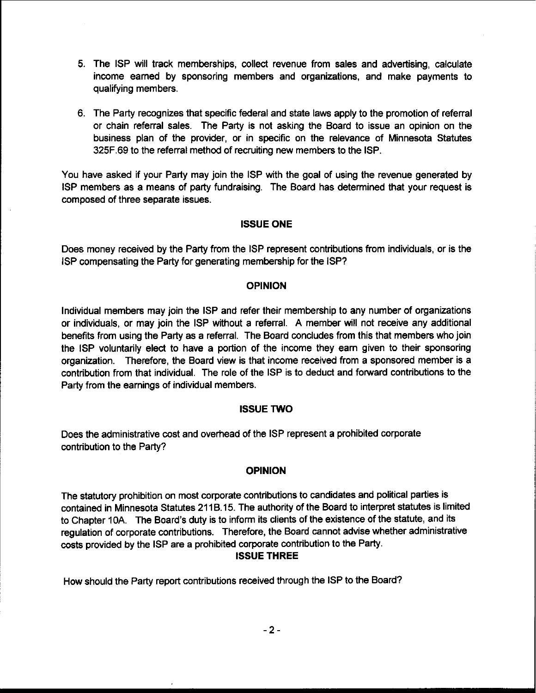- 5. The ISP will track memberships, collect revenue from sales and advertising, calculate income earned by sponsoring members and organizations, and make payments to qualifying members.
- 6. The Party recognizes that specific federal and state laws apply to the promotion of referral or chain referral sales. The Party is not asking the Board to issue an opinion on the business plan of the provider, or in specific on the relevance of Minnesota Statutes 325F.69 to the referral method of recruiting new members to the ISP.

You have asked if your Party may join the ISP with the goal of using the revenue generated by ISP members as a means of party fundraising. The Board has determined that your request is composed of three separate issues.

## ISSUE ONE

Does money received by the Party from the ISP represent contributions from individuals, or is the ISP compensating the Party for generating membership for the ISP?

# OPINION

Individual members may join the ISP and refer their membership to any number of organizations or individuals, or may join the ISP without a referral. A member will not receive any additional benefits from using the Party as a referral. The Board concludes from this that members who join the ISP voluntarily elect to have a portion of the income they earn given to their sponsoring organization. Therefore, the Board view is that income received from a sponsored member is a contribution from that individual. The role of the ISP is to deduct and forward contributions to the Party from the earnings of individual members.

## ISSUE TWO

Does the administrative cost and overhead of the ISP represent a prohibited corporate contribution to the Party?

# OPINION

The statutory prohibition on most corporate contributions to candidates and political parties is contained in Minnesota Statutes 21 18.15. The authority of the Board to interpret statutes is limited to Chapter **10A.** The Board's duty is to inform its clients of the existence of the statute, and its regulation of corporate contributions. Therefore, the Board cannot advise whether administrative costs provided by the ISP are a prohibited corporate contribution to the Party.

# ISSUE THREE

How should the Party report contributions received through the ISP to the Board?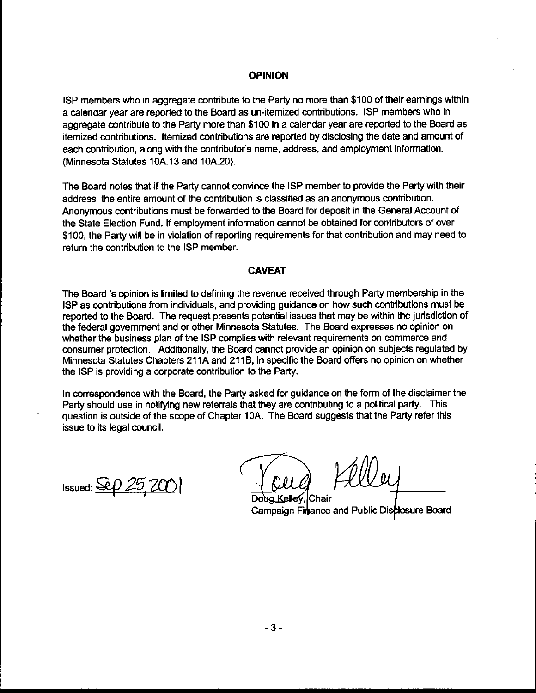#### **OPINION**

ISP members who in aggregate contribute to the Party no more than \$100 of their earnings within a calendar vear are reported to the Board as un-itemized contributions. ISP members who in aggregate contribute to the Party more than \$100 in a calendar year are reported to the Board as itemized contributions. Itemized contributions are reported by disclosing the date and amount of each contribution, along with the contributor's name, address, and employment information. (Minnesota Statutes 10A. 13 and 10A.20).

The Board notes that if the Party cannot convince the ISP member to provide the Party with their address the entire amount of the contribution is classified as an anonymous contribution. Anonvmous contributions must be forwarded to the Board for deposit in the General Account of the State Election Fund. If employment information cannot be obtained for contributors of over \$100, the Party will be in violation of reporting requirements for that contribution and may need to return the contribution to the ISP member.

### **CAVEAT**

The Board 's opinion is limited to defining the revenue received through Party membership in the ISP as contributions from individuals, and providing guidance on how such contributions must be reported to the Board. The request presents potential issues that may be within the jurisdiction of the federal government and or other Minnesota Statutes. The Board expresses no opinion on whether the business plan of the ISP complies with relevant requirements on commerce and consumer protection. Additionally, the Board cannot provide an opinion on subjects regulated by Minnesota Statutes Chapters 211A and 211B, in specific the Board offers no opinion on whether the ISP is providing a corporate contribution to the Party.

In correspondence with the Board, the Party asked for guidance on the form of the disclaimer the Party should use in notifying new referrals that they are contributing to a political party. This question is outside of the scope of Chapter 10A. The Board suggests that the Party refer this issue to its legal council.

Issued:  $\mathcal{L}\rho$  25, 200

Doug Kelley Chair Campaign Finance and Public Disclosure Board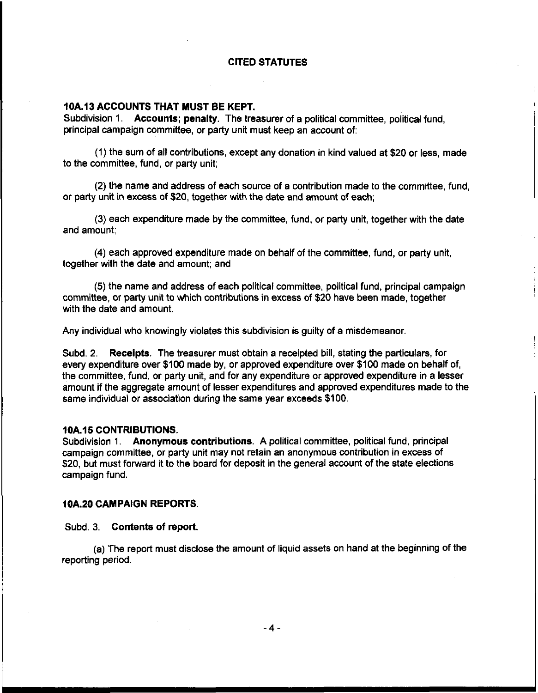### CITED STATUTES

### 10A.13 ACCOUNTS THAT MUST BE KEPT.

Subdivision 1. Accounts; penalty. The treasurer of a political committee, political fund, principal campaign committee, or party unit must keep an account of:

(1) the sum of all contributions, except any donation in kind valued at \$20 or less, made to the committee, fund, or party unit;

(2) the name and address of each source of a contribution made to the committee, fund, or party unit in excess of \$20, together with the date and amount of each;

(3) each expenditure made by the committee, fund, or party unit, together with the date and amount;

(4) each approved expenditure made on behalf of the committee, fund, or party unit, together with the date and amount; and

(5) the name and address of each political committee, political fund, principal campaign committee, or party unit to which contributions in excess of \$20 have been made, together with the date and amount.

Any individual who knowingly violates this subdivision is guilty of a misdemeanor,

Subd. 2. Receipts. The treasurer must obtain a receipted bill, stating the particulars, for every expenditure over \$100 made by, or approved expenditure over \$100 made on behalf of, the committee, fund, or party unit, and for any expenditure or approved expenditure in a lesser amount if the aggregate amount of lesser expenditures and approved expenditures made to the same individual or association during the same year exceeds \$100.

#### 10A.15 CONTRIBUTIONS.

Subdivision 1. Anonymous contributions. A political committee, political fund, principal campaign committee, or party unit may not retain an anonymous contribution in excess of \$20, but must forward it to the board for deposit in the general account of the state elections campaign fund.

### lOA.20 CAMPAIGN REPORTS.

#### Subd. 3. Contents of report.

(a) The report must disclose the amount of liquid assets on hand at the beginning of the reporting period.

 $-4-$